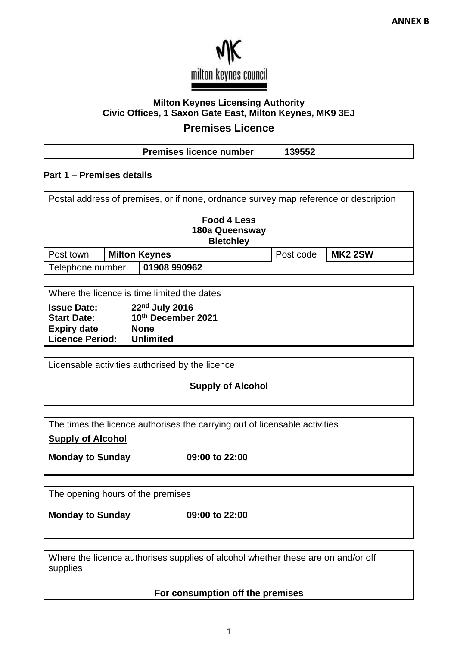

# **Milton Keynes Licensing Authority Civic Offices, 1 Saxon Gate East, Milton Keynes, MK9 3EJ**

# **Premises Licence**

| <b>Premises licence number</b> | 139552 |
|--------------------------------|--------|
|                                |        |

### **Part 1 – Premises details**

| Postal address of premises, or if none, ordnance survey map reference or description |  |                      |           |                |  |
|--------------------------------------------------------------------------------------|--|----------------------|-----------|----------------|--|
| Food 4 Less<br>180a Queensway<br><b>Bletchley</b>                                    |  |                      |           |                |  |
| Post town                                                                            |  | <b>Milton Keynes</b> | Post code | <b>MK2 2SW</b> |  |
| Telephone number                                                                     |  | 01908 990962         |           |                |  |
|                                                                                      |  |                      |           |                |  |

Where the licence is time limited the dates

| <b>Issue Date:</b>     | 22nd July 2016     |
|------------------------|--------------------|
| <b>Start Date:</b>     | 10th December 2021 |
| <b>Expiry date</b>     | <b>None</b>        |
| <b>Licence Period:</b> | <b>Unlimited</b>   |

Licensable activities authorised by the licence

**Supply of Alcohol**

The times the licence authorises the carrying out of licensable activities

**Supply of Alcohol**

**Monday to Sunday 09:00 to 22:00**

The opening hours of the premises

**Monday to Sunday 09:00 to 22:00**

Where the licence authorises supplies of alcohol whether these are on and/or off supplies

**For consumption off the premises**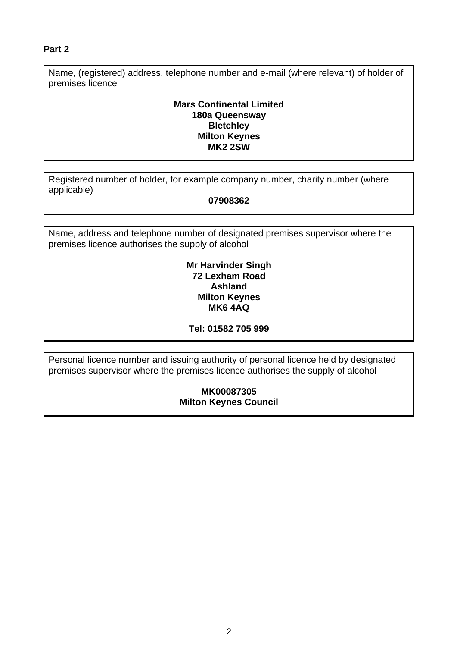### **Part 2**

Name, (registered) address, telephone number and e-mail (where relevant) of holder of premises licence

### **Mars Continental Limited 180a Queensway Bletchley Milton Keynes MK2 2SW**

Registered number of holder, for example company number, charity number (where applicable)

### **07908362**

Name, address and telephone number of designated premises supervisor where the premises licence authorises the supply of alcohol

#### **Mr Harvinder Singh 72 Lexham Road Ashland Milton Keynes MK6 4AQ**

### **Tel: 01582 705 999**

Personal licence number and issuing authority of personal licence held by designated premises supervisor where the premises licence authorises the supply of alcohol

### **MK00087305 Milton Keynes Council**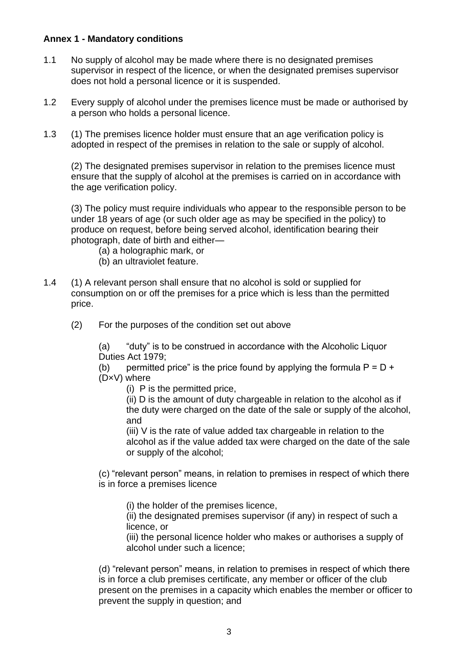### **Annex 1 - Mandatory conditions**

- 1.1 No supply of alcohol may be made where there is no designated premises supervisor in respect of the licence, or when the designated premises supervisor does not hold a personal licence or it is suspended.
- 1.2 Every supply of alcohol under the premises licence must be made or authorised by a person who holds a personal licence.
- 1.3 (1) The premises licence holder must ensure that an age verification policy is adopted in respect of the premises in relation to the sale or supply of alcohol.

(2) The designated premises supervisor in relation to the premises licence must ensure that the supply of alcohol at the premises is carried on in accordance with the age verification policy.

(3) The policy must require individuals who appear to the responsible person to be under 18 years of age (or such older age as may be specified in the policy) to produce on request, before being served alcohol, identification bearing their photograph, date of birth and either—

- (a) a holographic mark, or
- (b) an ultraviolet feature.
- 1.4 (1) A relevant person shall ensure that no alcohol is sold or supplied for consumption on or off the premises for a price which is less than the permitted price.
	- (2) For the purposes of the condition set out above

(a) "duty" is to be construed in accordance with the Alcoholic Liquor Duties Act 1979;

(b) permitted price" is the price found by applying the formula  $P = D +$ (D×V) where

(i) P is the permitted price,

(ii) D is the amount of duty chargeable in relation to the alcohol as if the duty were charged on the date of the sale or supply of the alcohol, and

(iii) V is the rate of value added tax chargeable in relation to the alcohol as if the value added tax were charged on the date of the sale or supply of the alcohol;

(c) "relevant person" means, in relation to premises in respect of which there is in force a premises licence

(i) the holder of the premises licence,

(ii) the designated premises supervisor (if any) in respect of such a licence, or

(iii) the personal licence holder who makes or authorises a supply of alcohol under such a licence;

(d) "relevant person" means, in relation to premises in respect of which there is in force a club premises certificate, any member or officer of the club present on the premises in a capacity which enables the member or officer to prevent the supply in question; and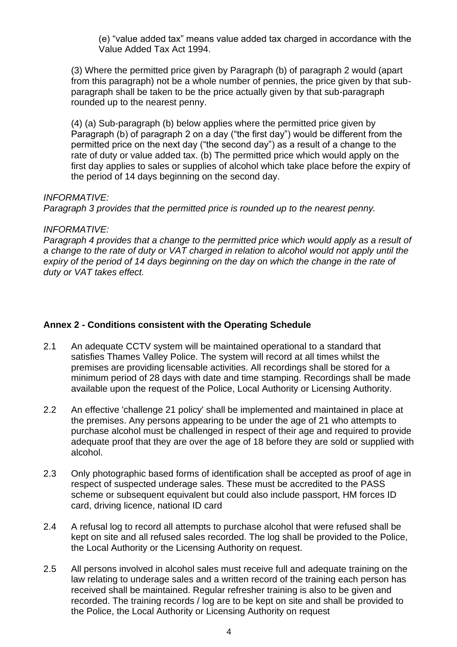(e) "value added tax" means value added tax charged in accordance with the Value Added Tax Act 1994.

(3) Where the permitted price given by Paragraph (b) of paragraph 2 would (apart from this paragraph) not be a whole number of pennies, the price given by that subparagraph shall be taken to be the price actually given by that sub-paragraph rounded up to the nearest penny.

(4) (a) Sub-paragraph (b) below applies where the permitted price given by Paragraph (b) of paragraph 2 on a day ("the first day") would be different from the permitted price on the next day ("the second day") as a result of a change to the rate of duty or value added tax. (b) The permitted price which would apply on the first day applies to sales or supplies of alcohol which take place before the expiry of the period of 14 days beginning on the second day.

#### *INFORMATIVE:*

*Paragraph 3 provides that the permitted price is rounded up to the nearest penny.* 

#### *INFORMATIVE:*

*Paragraph 4 provides that a change to the permitted price which would apply as a result of a change to the rate of duty or VAT charged in relation to alcohol would not apply until the expiry of the period of 14 days beginning on the day on which the change in the rate of duty or VAT takes effect.*

### **Annex 2 - Conditions consistent with the Operating Schedule**

- 2.1 An adequate CCTV system will be maintained operational to a standard that satisfies Thames Valley Police. The system will record at all times whilst the premises are providing licensable activities. All recordings shall be stored for a minimum period of 28 days with date and time stamping. Recordings shall be made available upon the request of the Police, Local Authority or Licensing Authority.
- 2.2 An effective 'challenge 21 policy' shall be implemented and maintained in place at the premises. Any persons appearing to be under the age of 21 who attempts to purchase alcohol must be challenged in respect of their age and required to provide adequate proof that they are over the age of 18 before they are sold or supplied with alcohol.
- 2.3 Only photographic based forms of identification shall be accepted as proof of age in respect of suspected underage sales. These must be accredited to the PASS scheme or subsequent equivalent but could also include passport, HM forces ID card, driving licence, national ID card
- 2.4 A refusal log to record all attempts to purchase alcohol that were refused shall be kept on site and all refused sales recorded. The log shall be provided to the Police, the Local Authority or the Licensing Authority on request.
- 2.5 All persons involved in alcohol sales must receive full and adequate training on the law relating to underage sales and a written record of the training each person has received shall be maintained. Regular refresher training is also to be given and recorded. The training records / log are to be kept on site and shall be provided to the Police, the Local Authority or Licensing Authority on request